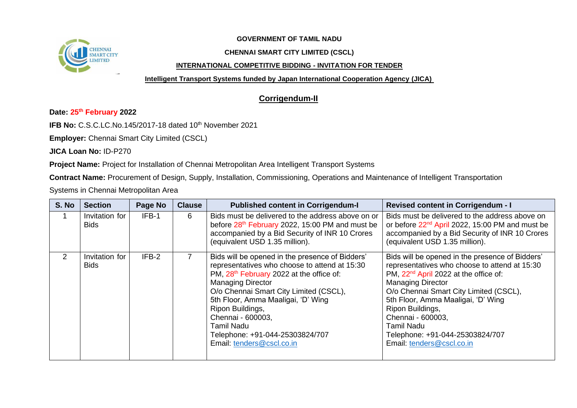

## **GOVERNMENT OF TAMIL NADU**

## **CHENNAI SMART CITY LIMITED (CSCL)**

## **INTERNATIONAL COMPETITIVE BIDDING - INVITATION FOR TENDER**

**Intelligent Transport Systems funded by Japan International Cooperation Agency (JICA)**

## **Corrigendum-II**

**Date: 25 th February 2022**

**IFB No: C.S.C.LC.No.145/2017-18 dated 10<sup>th</sup> November 2021** 

**Employer:** Chennai Smart City Limited (CSCL)

**JICA Loan No:** ID-P270

**Project Name:** Project for Installation of Chennai Metropolitan Area Intelligent Transport Systems

**Contract Name:** Procurement of Design, Supply, Installation, Commissioning, Operations and Maintenance of Intelligent Transportation

Systems in Chennai Metropolitan Area

| S. No         | <b>Section</b>                | Page No | <b>Clause</b> | <b>Published content in Corrigendum-I</b>                                                                                                                                                                                                                                                                                                                                                          | <b>Revised content in Corrigendum - I</b>                                                                                                                                                                                                                                                                                                                                                       |
|---------------|-------------------------------|---------|---------------|----------------------------------------------------------------------------------------------------------------------------------------------------------------------------------------------------------------------------------------------------------------------------------------------------------------------------------------------------------------------------------------------------|-------------------------------------------------------------------------------------------------------------------------------------------------------------------------------------------------------------------------------------------------------------------------------------------------------------------------------------------------------------------------------------------------|
|               | Invitation for<br><b>Bids</b> | IFB-1   | 6             | Bids must be delivered to the address above on or<br>before 28 <sup>th</sup> February 2022, 15:00 PM and must be<br>accompanied by a Bid Security of INR 10 Crores<br>(equivalent USD 1.35 million).                                                                                                                                                                                               | Bids must be delivered to the address above on<br>or before 22 <sup>nd</sup> April 2022, 15:00 PM and must be<br>accompanied by a Bid Security of INR 10 Crores<br>(equivalent USD 1.35 million).                                                                                                                                                                                               |
| $\mathcal{P}$ | Invitation for<br><b>Bids</b> | IFB-2   |               | Bids will be opened in the presence of Bidders'<br>representatives who choose to attend at 15:30<br>PM, 28 <sup>th</sup> February 2022 at the office of:<br><b>Managing Director</b><br>O/o Chennai Smart City Limited (CSCL),<br>5th Floor, Amma Maaligai, 'D' Wing<br>Ripon Buildings,<br>Chennai - 600003,<br><b>Tamil Nadu</b><br>Telephone: +91-044-25303824/707<br>Email: tenders@cscl.co.in | Bids will be opened in the presence of Bidders'<br>representatives who choose to attend at 15:30<br>PM, 22 <sup>nd</sup> April 2022 at the office of:<br><b>Managing Director</b><br>O/o Chennai Smart City Limited (CSCL),<br>5th Floor, Amma Maaligai, 'D' Wing<br>Ripon Buildings,<br>Chennai - 600003,<br><b>Tamil Nadu</b><br>Telephone: +91-044-25303824/707<br>Email: tenders@cscl.co.in |